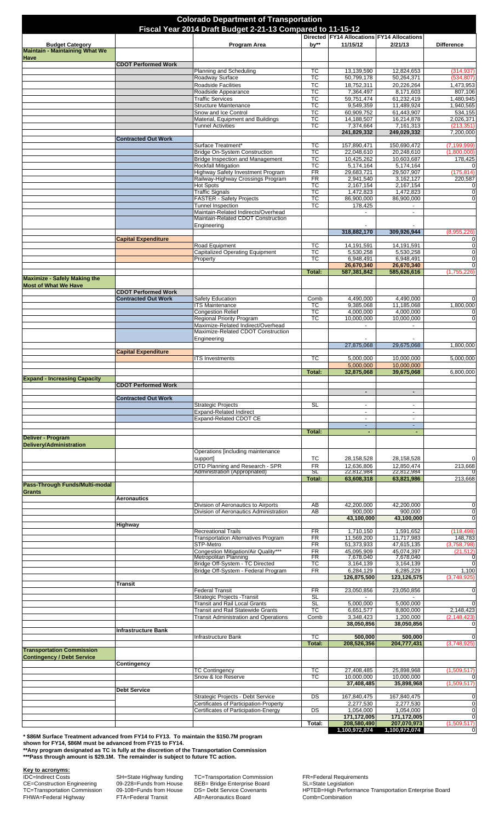| <b>Colorado Department of Transportation</b><br>Fiscal Year 2014 Draft Budget 2-21-13 Compared to 11-15-12 |                            |                                                                               |                                                  |                                           |                                            |                               |  |
|------------------------------------------------------------------------------------------------------------|----------------------------|-------------------------------------------------------------------------------|--------------------------------------------------|-------------------------------------------|--------------------------------------------|-------------------------------|--|
|                                                                                                            |                            |                                                                               |                                                  |                                           | Directed FY14 Allocations FY14 Allocations |                               |  |
| <b>Budget Category</b><br><b>Maintain - Maintaining What We</b>                                            |                            | Program Area                                                                  | by**                                             | 11/15/12                                  | 2/21/13                                    | <b>Difference</b>             |  |
| <b>Have</b>                                                                                                | <b>CDOT Performed Work</b> |                                                                               |                                                  |                                           |                                            |                               |  |
|                                                                                                            |                            | Planning and Scheduling<br>Roadway Surface                                    | TC<br>ТC                                         | 13,139,590<br>50,799,178                  | 12,824,653<br>50,264,371                   | (314, 937)<br>(534, 807)      |  |
|                                                                                                            |                            | <b>Roadside Facilities</b>                                                    | <b>TC</b>                                        | 18,752,311                                | 20,226,264                                 | 1,473,953                     |  |
|                                                                                                            |                            | Roadside Appearance<br><b>Traffic Services</b>                                | $\overline{\text{TC}}$<br>TC                     | 7,364,497<br>59,751,474                   | 8,171,603<br>61,232,419                    | 807,106<br>1,480,945          |  |
|                                                                                                            |                            | <b>Structure Maintenance</b><br>Snow and Ice Control                          | $\overline{\text{TC}}$<br>$\overline{\text{TC}}$ | 9,549,359<br>60,909,752                   | 11,489,924<br>61,443,907                   | 1,940,565<br>534,155          |  |
|                                                                                                            |                            | Material, Equipment and Buildings                                             | тс                                               | 14,188,507                                | 16,214,878                                 | 2,026,371                     |  |
|                                                                                                            |                            | <b>Tunnel Activities</b>                                                      | $\overline{\text{TC}}$                           | 7,374,664<br>241,829,332                  | 7,161,313<br>249,029,332                   | (213, 351)<br>7,200,000       |  |
|                                                                                                            | <b>Contracted Out Work</b> | Surface Treatment*                                                            | ТC                                               | 157,890,471                               | 150,690,472                                | (7, 199, 999)                 |  |
|                                                                                                            |                            | Bridge On-System Construction<br><b>Bridge Inspection and Management</b>      | $\overline{\text{TC}}$<br>TC                     | 22,048,610<br>10,425,262                  | 20,248,610                                 | (1,800,000)                   |  |
|                                                                                                            |                            | <b>Rockfall Mitigation</b>                                                    | TC                                               | 5,174,164                                 | 10,603,687<br>5,174,164                    | 178,425<br>$\mathbf 0$        |  |
|                                                                                                            |                            | Highway Safety Investment Program<br>Railway-Highway Crossings Program        | $\overline{FR}$<br>$\overline{FR}$               | 29,683,721<br>2,941,540                   | 29,507,907<br>3,162,127                    | (175, 814)<br>220,587         |  |
|                                                                                                            |                            | <b>Hot Spots</b><br><b>Traffic Signals</b>                                    | $\overline{\text{TC}}$<br>$\overline{\text{TC}}$ | 2,167,154<br>1,472,823                    | 2,167,154<br>1,472,823                     | $\mathbf 0$<br>$\mathbf 0$    |  |
|                                                                                                            |                            | <b>FASTER - Safety Projects</b>                                               | ТC                                               | 86,900,000                                | 86,900,000                                 | $\mathbf{O}$                  |  |
|                                                                                                            |                            | Tunnel Inspection<br>Maintain-Related Indirects/Overhead                      | ТC                                               | 178,425                                   | $\overline{\phantom{a}}$                   |                               |  |
|                                                                                                            |                            | Maintain-Related CDOT Construction<br>Engineering                             |                                                  |                                           |                                            |                               |  |
|                                                                                                            |                            |                                                                               |                                                  | 318,882,170                               | 309,926,944                                | (8,955,226)                   |  |
|                                                                                                            | <b>Capital Expenditure</b> | Road Equipment                                                                | <b>TC</b>                                        | 14, 191, 591                              | 14, 191, 591                               | $\mathbf 0$<br>$\mathbf 0$    |  |
|                                                                                                            |                            | <b>Capitalized Operating Equipment</b><br>Property                            | $\overline{\text{TC}}$<br>ТC                     | 5,530,258<br>6,948,491                    | 5,530,258<br>6,948,491                     | $\mathbf 0$<br>$\mathbf 0$    |  |
|                                                                                                            |                            |                                                                               | Total:                                           | 26,670,340<br>587,381,842                 | 26,670,340<br>585,626,616                  | $\mathbf{O}$<br>(1,755,226)   |  |
| <b>Maximize - Safely Making the</b>                                                                        |                            |                                                                               |                                                  |                                           |                                            |                               |  |
| <b>Most of What We Have</b>                                                                                | <b>CDOT Performed Work</b> |                                                                               |                                                  |                                           |                                            |                               |  |
|                                                                                                            | <b>Contracted Out Work</b> | Safety Education<br><b>ITS Maintenance</b>                                    | Comb<br>ТC                                       | 4,490,000<br>9,385,068                    | 4,490,000<br>11,185,068                    | $\mathbf 0$<br>1,800,000      |  |
|                                                                                                            |                            | <b>Congestion Relief</b>                                                      | TC<br>$\overline{\text{TC}}$                     | 4,000,000                                 | 4,000,000                                  | $\mathbf 0$                   |  |
|                                                                                                            |                            | <b>Regional Priority Program</b><br>Maximize-Related Indirect/Overhead        |                                                  | 10,000,000<br>$\mathcal{L}_{\mathcal{A}}$ | 10,000,000<br>÷.                           | $\mathbf 0$                   |  |
|                                                                                                            |                            | Maximize-Related CDOT Construction<br>Engineering                             |                                                  |                                           |                                            |                               |  |
|                                                                                                            | <b>Capital Expenditure</b> |                                                                               |                                                  | 27,875,068                                | 29,675,068                                 | 1,800,000                     |  |
|                                                                                                            |                            | <b>ITS Investments</b>                                                        | ТC                                               | 5,000,000                                 | 10,000,000                                 | 5,000,000                     |  |
|                                                                                                            |                            |                                                                               | Total:                                           | 5,000,000<br>32,875,068                   | 10,000,000<br>39,675,068                   | 6,800,000                     |  |
| <b>Expand - Increasing Capacity</b>                                                                        | <b>CDOT Performed Work</b> |                                                                               |                                                  |                                           |                                            |                               |  |
|                                                                                                            |                            |                                                                               |                                                  |                                           |                                            |                               |  |
|                                                                                                            | <b>Contracted Out Work</b> | <b>Strategic Projects</b>                                                     | <b>SL</b>                                        | $\sim$                                    | $\blacksquare$                             |                               |  |
|                                                                                                            |                            | <b>Expand-Related Indirect</b><br>Expand-Related CDOT CE                      |                                                  | ÷.                                        | $\blacksquare$<br>÷.                       |                               |  |
|                                                                                                            |                            |                                                                               | Total:                                           | $\sim$<br>$\blacksquare$                  | $\sim$<br>$\blacksquare$                   |                               |  |
| <b>Deliver - Program</b>                                                                                   |                            |                                                                               |                                                  |                                           |                                            |                               |  |
| <b>Delivery/Administration</b>                                                                             |                            | Operations [including maintenance                                             |                                                  |                                           |                                            |                               |  |
|                                                                                                            |                            | support]<br>DTD Planning and Research - SPR                                   | ТC<br><b>FR</b>                                  | 28,158,528<br>12,636,806                  | 28,158,528<br>12.850.474                   | $\mathbf 0$<br>213,668        |  |
|                                                                                                            |                            | Administration (Appropriated)                                                 | <b>SL</b><br>Total:                              | 22,812,984<br>63,608,318                  | 22,812,984<br>63,821,986                   | $\overline{0}$<br>213,668     |  |
| Pass-Through Funds/Multi-modal                                                                             |                            |                                                                               |                                                  |                                           |                                            |                               |  |
| <b>Grants</b>                                                                                              | <b>Aeronautics</b>         |                                                                               |                                                  |                                           |                                            |                               |  |
|                                                                                                            |                            | Division of Aeronautics to Airports<br>Division of Aeronautics Administration | AB<br>AB                                         | 42,200,000<br>900,000                     | 42,200,000<br>900,000                      | $\mathbf 0$<br>o              |  |
|                                                                                                            |                            |                                                                               |                                                  | 43,100,000                                | 43,100,000                                 | $\mathbf 0$                   |  |
|                                                                                                            | Highway                    | <b>Recreational Trails</b>                                                    | <b>FR</b>                                        | 1,710,150                                 | 1,591,652                                  | (118, 498)                    |  |
|                                                                                                            |                            | <b>Transportation Alternatives Program</b><br>STP-Metro                       | $\overline{\mathsf{FR}}$<br><b>FR</b>            | 11,569,200<br>51,373,933                  | 11,717,983<br>47,615,135                   | 148,783<br>(3,758,798)        |  |
|                                                                                                            |                            | Congestion Mitigation/Air Quality***<br><b>Metropolitan Planning</b>          | <b>FR</b><br>FR                                  | 45,095,909<br>7,678,040                   | 45,074,397<br>7,678,040                    | (21, 512)<br>$\mathbf{0}$     |  |
|                                                                                                            |                            | Bridge Off-System - TC Directed<br>Bridge Off-System - Federal Program        | ТC<br>FR                                         | 3,164,139                                 | 3,164,139                                  | $\mathbf 0$                   |  |
|                                                                                                            |                            |                                                                               |                                                  | 6,284,129<br>126,875,500                  | 6,285,229<br>123,126,575                   | 1,100<br>(3,748,925)          |  |
|                                                                                                            | <b>Transit</b>             | <b>Federal Transit</b>                                                        | <b>FR</b>                                        | 23,050,856                                | 23,050,856                                 | $\mathbf 0$                   |  |
|                                                                                                            |                            | Strategic Projects - Transit<br><b>Transit and Rail Local Grants</b>          | <b>SL</b><br><b>SL</b>                           | 5,000,000                                 | 5,000,000                                  | $\overline{0}$                |  |
|                                                                                                            |                            | <b>Transit and Rail Statewide Grants</b>                                      | $\overline{\text{TC}}$                           | 6,651,577                                 | 8,800,000                                  | 2,148,423                     |  |
|                                                                                                            |                            | <b>Transit Administration and Operations</b>                                  | Comb                                             | 3,348,423<br>38,050,856                   | 1,200,000<br>38,050,856                    | (2, 148, 423)<br>$\mathbf 0$  |  |
|                                                                                                            | <b>Infrastructure Bank</b> | Infrastructure Bank                                                           | $\overline{\text{TC}}$                           | 500,000                                   | 500,000                                    | $\mathbf{0}$                  |  |
| <b>Transportation Commission</b>                                                                           |                            |                                                                               | <b>Total:</b>                                    | 208,526,356                               | 204,777,431                                | (3,748,925)                   |  |
| <b>Contingency / Debt Service</b>                                                                          |                            |                                                                               |                                                  |                                           |                                            |                               |  |
|                                                                                                            | Contingency                | <b>TC Contingency</b>                                                         | TC                                               | 27,408,485                                | 25,898,968                                 | (1,509,517)                   |  |
|                                                                                                            |                            | Snow & Ice Reserve                                                            | $\overline{\text{TC}}$                           | 10,000,000<br>37,408,485                  | 10,000,000<br>35,898,968                   | $\mathbf 0$<br>(1,509,517)    |  |
|                                                                                                            | <b>Debt Service</b>        | Strategic Projects - Debt Service                                             | DS                                               |                                           |                                            |                               |  |
|                                                                                                            |                            | Certificates of Participation-Property                                        |                                                  | 167,840,475<br>2,277,530                  | 167,840,475<br>2,277,530                   | $\overline{0}$<br>$\mathbf 0$ |  |
|                                                                                                            |                            | Certificates of Participation-Energy                                          | DS                                               | 1,054,000<br>171,172,005                  | 1,054,000<br>171,172,005                   | $\mathbf 0$<br>$\mathbf 0$    |  |
|                                                                                                            |                            |                                                                               | Total:                                           | 208,580,490<br>1,100,972,074              | 207,070,973<br>1,100,972,074               | (1,509,517)<br>$\overline{0}$ |  |

**\* \$86M Surface Treatment advanced from FY14 to FY13. To maintain the \$150.7M program** 

**shown for FY14, \$86M must be advanced from FY15 to FY14.**

**\*\*Any program designated as TC is fully at the discretion of the Transportation Commission \*\*\*Pass through amount is \$29.1M. The remainder is subject to future TC action.**

**Key to acronyms:**<br>
IDC=Indirect Costs<br>
CE=Construction Engineering<br>
TC=Transportation Commission<br>
FHWA=Federal Highway IDC=Indirect Costs SH=State Highway funding TC=Transportation Commission FR=Federal Requirements CE=Construction Engineering 09-228=Funds from House BEB= Bridge Enterprise Board SL=State Legislation

FHWA=Federal Highway FTA=Federal Transit AB=Aeronautics Board Comb=Combination

TC=Transportation Commission 09-108=Funds from House DS= Debt Service Covenants HPTEB=High Performance Transportation Enterprise Board